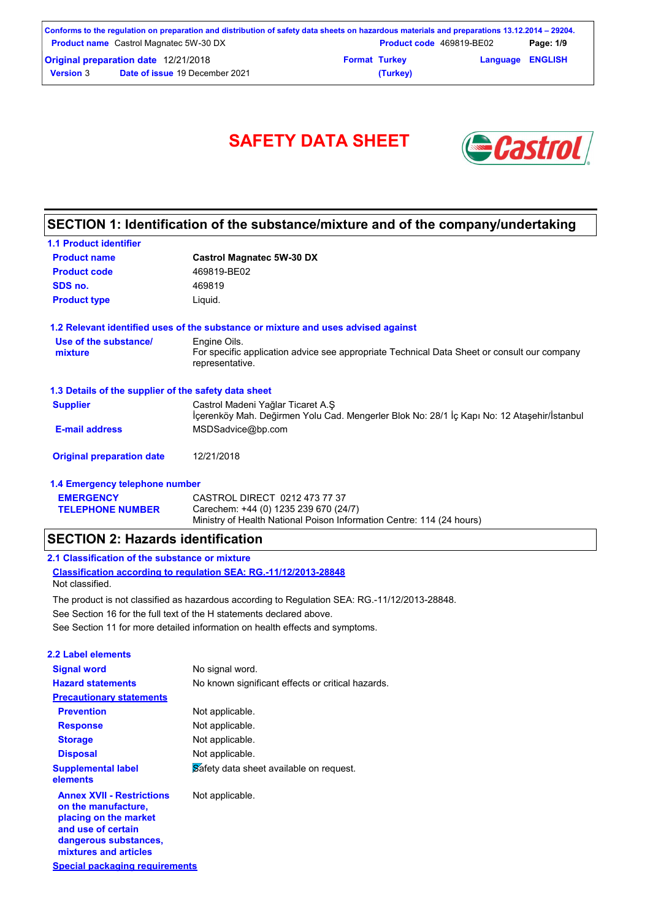|                                               | Conforms to the regulation on preparation and distribution of safety data sheets on hazardous materials and preparations 13.12.2014 – 29204. |                      |                                 |                         |           |
|-----------------------------------------------|----------------------------------------------------------------------------------------------------------------------------------------------|----------------------|---------------------------------|-------------------------|-----------|
| <b>Product name</b> Castrol Magnatec 5W-30 DX |                                                                                                                                              |                      | <b>Product code</b> 469819-BE02 |                         | Page: 1/9 |
| <b>Original preparation date 12/21/2018</b>   |                                                                                                                                              | <b>Format Turkey</b> |                                 | <b>Language ENGLISH</b> |           |
| <b>Version 3</b>                              | <b>Date of issue 19 December 2021</b>                                                                                                        |                      | (Turkey)                        |                         |           |

# SAFETY DATA SHEET **& Castro**



### **SECTION 1: Identification of the substance/mixture and of the company/undertaking**

| <b>1.1 Product identifier</b>                        |                                                                                                                                 |
|------------------------------------------------------|---------------------------------------------------------------------------------------------------------------------------------|
| <b>Product name</b>                                  | <b>Castrol Magnatec 5W-30 DX</b>                                                                                                |
| <b>Product code</b>                                  | 469819-BE02                                                                                                                     |
| SDS no.                                              | 469819                                                                                                                          |
| <b>Product type</b>                                  | Liquid.                                                                                                                         |
|                                                      | 1.2 Relevant identified uses of the substance or mixture and uses advised against                                               |
| Use of the substance/<br>mixture                     | Engine Oils.<br>For specific application advice see appropriate Technical Data Sheet or consult our company<br>representative.  |
| 1.3 Details of the supplier of the safety data sheet |                                                                                                                                 |
| <b>Supplier</b>                                      | Castrol Madeni Yağlar Ticaret A.S<br>İçerenköy Mah. Değirmen Yolu Cad. Mengerler Blok No: 28/1 İç Kapı No: 12 Ataşehir/İstanbul |
| <b>E-mail address</b>                                | MSDSadvice@bp.com                                                                                                               |
| <b>Original preparation date</b>                     | 12/21/2018                                                                                                                      |
| 1.4 Emergency telephone number                       |                                                                                                                                 |
| <b>EMERGENCY</b>                                     | CASTROL DIRECT 0212 473 77 37                                                                                                   |

#### Ministry of Health National Poison Information Centre: 114 (24 hours) **SECTION 2: Hazards identification**

**TELEPHONE NUMBER**

### **2.1 Classification of the substance or mixture**

**Classification according to regulation SEA: RG.-11/12/2013-28848** Not classified.

See Section 11 for more detailed information on health effects and symptoms. See Section 16 for the full text of the H statements declared above. The product is not classified as hazardous according to Regulation SEA: RG.-11/12/2013-28848.

Carechem: +44 (0) 1235 239 670 (24/7)

| 2.2 Label elements                                                                                                                                       |                                                   |
|----------------------------------------------------------------------------------------------------------------------------------------------------------|---------------------------------------------------|
| <b>Signal word</b>                                                                                                                                       | No signal word.                                   |
| <b>Hazard statements</b>                                                                                                                                 | No known significant effects or critical hazards. |
| <b>Precautionary statements</b>                                                                                                                          |                                                   |
| <b>Prevention</b>                                                                                                                                        | Not applicable.                                   |
| <b>Response</b>                                                                                                                                          | Not applicable.                                   |
| <b>Storage</b>                                                                                                                                           | Not applicable.                                   |
| <b>Disposal</b>                                                                                                                                          | Not applicable.                                   |
| <b>Supplemental label</b><br>elements                                                                                                                    | Safety data sheet available on request.           |
| <b>Annex XVII - Restrictions</b><br>on the manufacture,<br>placing on the market<br>and use of certain<br>dangerous substances,<br>mixtures and articles | Not applicable.                                   |
| Special packaging requirements                                                                                                                           |                                                   |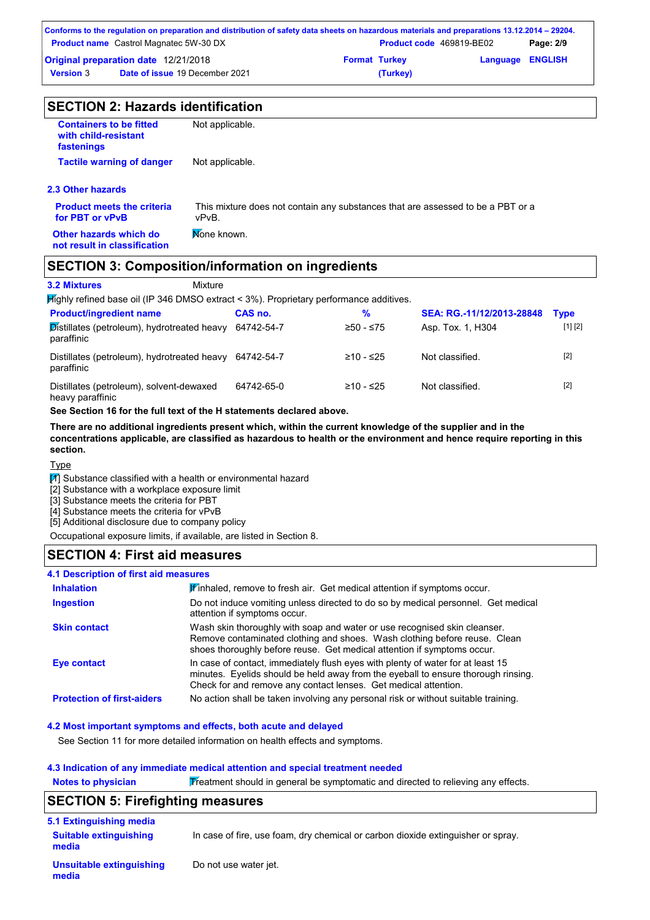|                                               | Conforms to the regulation on preparation and distribution of safety data sheets on hazardous materials and preparations 13.12.2014 – 29204. |                      |                                 |                         |           |
|-----------------------------------------------|----------------------------------------------------------------------------------------------------------------------------------------------|----------------------|---------------------------------|-------------------------|-----------|
| <b>Product name</b> Castrol Magnatec 5W-30 DX |                                                                                                                                              |                      | <b>Product code</b> 469819-BE02 |                         | Page: 2/9 |
| Original preparation date 12/21/2018          |                                                                                                                                              | <b>Format Turkey</b> |                                 | <b>Language ENGLISH</b> |           |
| <b>Version</b> 3                              | <b>Date of issue 19 December 2021</b>                                                                                                        |                      | (Turkey)                        |                         |           |

| <b>SECTION 2: Hazards identification</b>                             |                                                                                          |  |  |  |
|----------------------------------------------------------------------|------------------------------------------------------------------------------------------|--|--|--|
| <b>Containers to be fitted</b><br>with child-resistant<br>fastenings | Not applicable.                                                                          |  |  |  |
| <b>Tactile warning of danger</b>                                     | Not applicable.                                                                          |  |  |  |
| 2.3 Other hazards                                                    |                                                                                          |  |  |  |
| <b>Product meets the criteria</b><br>for PBT or vPvB                 | This mixture does not contain any substances that are assessed to be a PBT or a<br>vPvB. |  |  |  |
| Other hazards which do<br>not result in classification               | Mone known.                                                                              |  |  |  |

#### **SECTION 3: Composition/information on ingredients**

| <b>3.2 Mixtures</b><br>Mixture |
|--------------------------------|
|--------------------------------|

**Highly refined base oil (IP 346 DMSO extract < 3%). Proprietary performance additives.** 

| <b>Product/ingredient name</b>                               | CAS no.    | %           | SEA: RG.-11/12/2013-28848 | <b>Type</b> |
|--------------------------------------------------------------|------------|-------------|---------------------------|-------------|
| Distillates (petroleum), hydrotreated heavy<br>paraffinic    | 64742-54-7 | $≥50 - ≤75$ | Asp. Tox. 1, H304         | [1] [2]     |
| Distillates (petroleum), hydrotreated heavy<br>paraffinic    | 64742-54-7 | ≥10 - ≤25   | Not classified.           | $[2]$       |
| Distillates (petroleum), solvent-dewaxed<br>heavy paraffinic | 64742-65-0 | ≥10 - ≤25   | Not classified.           | $[2]$       |

**See Section 16 for the full text of the H statements declared above.**

**There are no additional ingredients present which, within the current knowledge of the supplier and in the concentrations applicable, are classified as hazardous to health or the environment and hence require reporting in this section.**

#### Type

**media**

 $\boxed{1}$  Substance classified with a health or environmental hazard

[2] Substance with a workplace exposure limit

[3] Substance meets the criteria for PBT

[4] Substance meets the criteria for vPvB

[5] Additional disclosure due to company policy

Occupational exposure limits, if available, are listed in Section 8.

#### **SECTION 4: First aid measures**

#### **4.1 Description of first aid measures**

| <b>Inhalation</b>                 | Finhaled, remove to fresh air. Get medical attention if symptoms occur.                                                                                                                                                                 |
|-----------------------------------|-----------------------------------------------------------------------------------------------------------------------------------------------------------------------------------------------------------------------------------------|
| <b>Ingestion</b>                  | Do not induce vomiting unless directed to do so by medical personnel. Get medical<br>attention if symptoms occur.                                                                                                                       |
| <b>Skin contact</b>               | Wash skin thoroughly with soap and water or use recognised skin cleanser.<br>Remove contaminated clothing and shoes. Wash clothing before reuse. Clean<br>shoes thoroughly before reuse. Get medical attention if symptoms occur.       |
| <b>Eye contact</b>                | In case of contact, immediately flush eyes with plenty of water for at least 15<br>minutes. Eyelids should be held away from the eyeball to ensure thorough rinsing.<br>Check for and remove any contact lenses. Get medical attention. |
| <b>Protection of first-aiders</b> | No action shall be taken involving any personal risk or without suitable training.                                                                                                                                                      |

#### **4.2 Most important symptoms and effects, both acute and delayed**

See Section 11 for more detailed information on health effects and symptoms.

#### **4.3 Indication of any immediate medical attention and special treatment needed**

**Notes to physician** Treatment should in general be symptomatic and directed to relieving any effects.

#### In case of fire, use foam, dry chemical or carbon dioxide extinguisher or spray. **5.1 Extinguishing media** Do not use water jet. **Suitable extinguishing media Unsuitable extinguishing SECTION 5: Firefighting measures**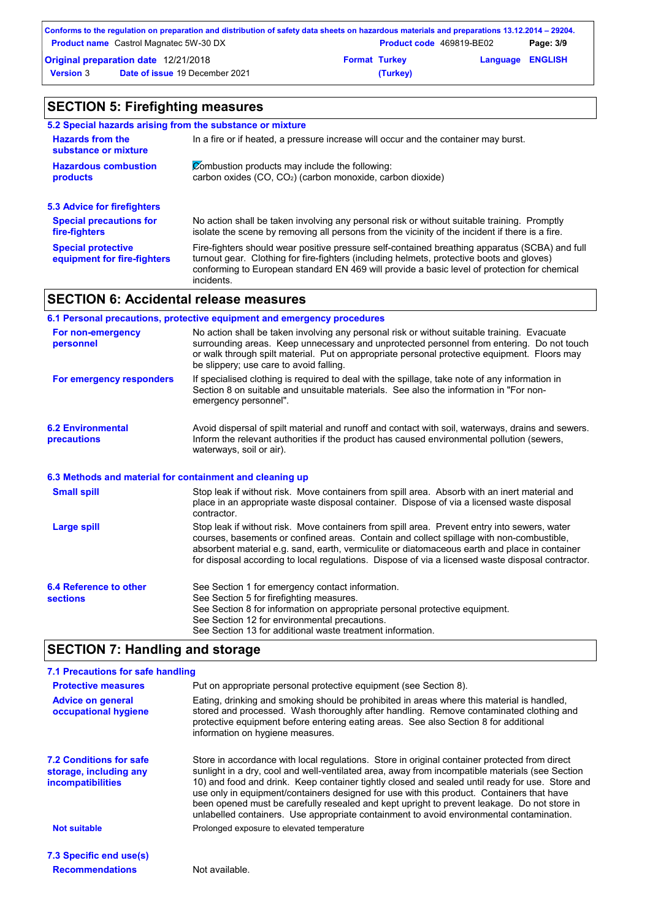|                                               | Conforms to the regulation on preparation and distribution of safety data sheets on hazardous materials and preparations 13.12.2014 – 29204. |                                 |          |                         |  |
|-----------------------------------------------|----------------------------------------------------------------------------------------------------------------------------------------------|---------------------------------|----------|-------------------------|--|
| <b>Product name</b> Castrol Magnatec 5W-30 DX |                                                                                                                                              | <b>Product code</b> 469819-BE02 |          | Page: 3/9               |  |
| Original preparation date 12/21/2018          |                                                                                                                                              | <b>Format Turkey</b>            |          | <b>Language ENGLISH</b> |  |
| <b>Version 3</b>                              | <b>Date of issue 19 December 2021</b>                                                                                                        |                                 | (Turkey) |                         |  |

### **SECTION 5: Firefighting measures**

| 5.2 Special hazards arising from the substance or mixture                                                                              |                                                                                                                                                                                                                                                                                                           |  |
|----------------------------------------------------------------------------------------------------------------------------------------|-----------------------------------------------------------------------------------------------------------------------------------------------------------------------------------------------------------------------------------------------------------------------------------------------------------|--|
| <b>Hazards from the</b><br>In a fire or if heated, a pressure increase will occur and the container may burst.<br>substance or mixture |                                                                                                                                                                                                                                                                                                           |  |
| <b>Hazardous combustion</b><br>products                                                                                                | Combustion products may include the following:<br>carbon oxides (CO, CO <sub>2</sub> ) (carbon monoxide, carbon dioxide)                                                                                                                                                                                  |  |
| 5.3 Advice for firefighters                                                                                                            |                                                                                                                                                                                                                                                                                                           |  |
| <b>Special precautions for</b><br>fire-fighters                                                                                        | No action shall be taken involving any personal risk or without suitable training. Promptly<br>isolate the scene by removing all persons from the vicinity of the incident if there is a fire.                                                                                                            |  |
| <b>Special protective</b><br>equipment for fire-fighters                                                                               | Fire-fighters should wear positive pressure self-contained breathing apparatus (SCBA) and full<br>turnout gear. Clothing for fire-fighters (including helmets, protective boots and gloves)<br>conforming to European standard EN 469 will provide a basic level of protection for chemical<br>incidents. |  |

#### **SECTION 6: Accidental release measures**

#### **6.2 Environmental precautions** Stop leak if without risk. Move containers from spill area. Prevent entry into sewers, water courses, basements or confined areas. Contain and collect spillage with non-combustible, absorbent material e.g. sand, earth, vermiculite or diatomaceous earth and place in container for disposal according to local regulations. Dispose of via a licensed waste disposal contractor. Avoid dispersal of spilt material and runoff and contact with soil, waterways, drains and sewers. Inform the relevant authorities if the product has caused environmental pollution (sewers, waterways, soil or air). **Large spill** Stop leak if without risk. Move containers from spill area. Absorb with an inert material and place in an appropriate waste disposal container. Dispose of via a licensed waste disposal contractor. **Small spill 6.3 Methods and material for containment and cleaning up 6.1 Personal precautions, protective equipment and emergency procedures For non-emergency personnel For emergency responders** No action shall be taken involving any personal risk or without suitable training. Evacuate surrounding areas. Keep unnecessary and unprotected personnel from entering. Do not touch or walk through spilt material. Put on appropriate personal protective equipment. Floors may be slippery; use care to avoid falling. If specialised clothing is required to deal with the spillage, take note of any information in Section 8 on suitable and unsuitable materials. See also the information in "For nonemergency personnel".

#### **SECTION 7: Handling and storage**

| 7.1 Precautions for safe handling                                             |                                                                                                                                                                                                                                                                                                                                                                                                                                                                                                                                                                                             |  |  |  |
|-------------------------------------------------------------------------------|---------------------------------------------------------------------------------------------------------------------------------------------------------------------------------------------------------------------------------------------------------------------------------------------------------------------------------------------------------------------------------------------------------------------------------------------------------------------------------------------------------------------------------------------------------------------------------------------|--|--|--|
| <b>Protective measures</b>                                                    | Put on appropriate personal protective equipment (see Section 8).                                                                                                                                                                                                                                                                                                                                                                                                                                                                                                                           |  |  |  |
| <b>Advice on general</b><br>occupational hygiene                              | Eating, drinking and smoking should be prohibited in areas where this material is handled,<br>stored and processed. Wash thoroughly after handling. Remove contaminated clothing and<br>protective equipment before entering eating areas. See also Section 8 for additional<br>information on hygiene measures.                                                                                                                                                                                                                                                                            |  |  |  |
| <b>7.2 Conditions for safe</b><br>storage, including any<br>incompatibilities | Store in accordance with local regulations. Store in original container protected from direct<br>sunlight in a dry, cool and well-ventilated area, away from incompatible materials (see Section<br>10) and food and drink. Keep container tightly closed and sealed until ready for use. Store and<br>use only in equipment/containers designed for use with this product. Containers that have<br>been opened must be carefully resealed and kept upright to prevent leakage. Do not store in<br>unlabelled containers. Use appropriate containment to avoid environmental contamination. |  |  |  |
| <b>Not suitable</b>                                                           | Prolonged exposure to elevated temperature                                                                                                                                                                                                                                                                                                                                                                                                                                                                                                                                                  |  |  |  |
| 7.3 Specific end use(s)                                                       |                                                                                                                                                                                                                                                                                                                                                                                                                                                                                                                                                                                             |  |  |  |
| <b>Recommendations</b>                                                        | Not available.                                                                                                                                                                                                                                                                                                                                                                                                                                                                                                                                                                              |  |  |  |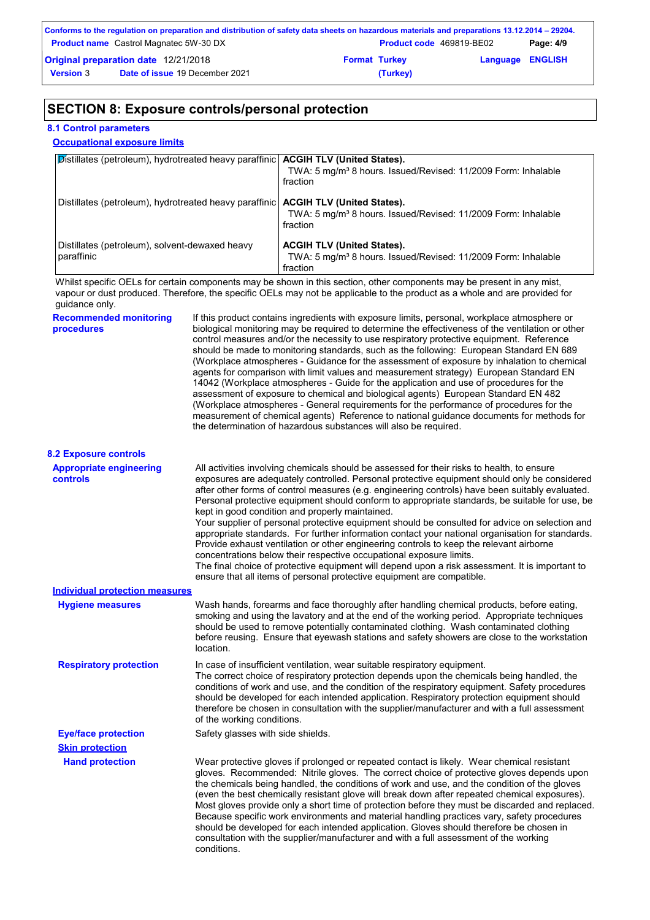| Conforms to the regulation on preparation and distribution of safety data sheets on hazardous materials and preparations 13.12.2014 – 29204. |                                               |                      |                          |                         |           |  |  |
|----------------------------------------------------------------------------------------------------------------------------------------------|-----------------------------------------------|----------------------|--------------------------|-------------------------|-----------|--|--|
|                                                                                                                                              | <b>Product name</b> Castrol Magnatec 5W-30 DX |                      | Product code 469819-BE02 |                         | Page: 4/9 |  |  |
| Original preparation date 12/21/2018                                                                                                         |                                               | <b>Format Turkey</b> |                          | <b>Language ENGLISH</b> |           |  |  |
| <b>Version 3</b>                                                                                                                             | <b>Date of issue 19 December 2021</b>         |                      | (Turkey)                 |                         |           |  |  |

### **SECTION 8: Exposure controls/personal protection**

#### **8.1 Control parameters**

#### **Occupational exposure limits**

| $\mathcal P$ istillates (petroleum), hydrotreated heavy paraffinic <b>ACGIH TLV (United States).</b> | TWA: 5 mg/m <sup>3</sup> 8 hours. Issued/Revised: 11/2009 Form: Inhalable<br>fraction                                      |
|------------------------------------------------------------------------------------------------------|----------------------------------------------------------------------------------------------------------------------------|
| Distillates (petroleum), hydrotreated heavy paraffinic   ACGIH TLV (United States).                  | TWA: 5 mg/m <sup>3</sup> 8 hours. Issued/Revised: 11/2009 Form: Inhalable<br>fraction                                      |
| Distillates (petroleum), solvent-dewaxed heavy<br>paraffinic                                         | <b>ACGIH TLV (United States).</b><br>TWA: 5 mg/m <sup>3</sup> 8 hours. Issued/Revised: 11/2009 Form: Inhalable<br>fraction |

Whilst specific OELs for certain components may be shown in this section, other components may be present in any mist, vapour or dust produced. Therefore, the specific OELs may not be applicable to the product as a whole and are provided for guidance only.

| <b>Recommended monitoring</b><br>procedures       | If this product contains ingredients with exposure limits, personal, workplace atmosphere or<br>biological monitoring may be required to determine the effectiveness of the ventilation or other<br>control measures and/or the necessity to use respiratory protective equipment. Reference<br>should be made to monitoring standards, such as the following: European Standard EN 689<br>(Workplace atmospheres - Guidance for the assessment of exposure by inhalation to chemical<br>agents for comparison with limit values and measurement strategy) European Standard EN<br>14042 (Workplace atmospheres - Guide for the application and use of procedures for the<br>assessment of exposure to chemical and biological agents) European Standard EN 482<br>(Workplace atmospheres - General requirements for the performance of procedures for the<br>measurement of chemical agents) Reference to national guidance documents for methods for<br>the determination of hazardous substances will also be required. |
|---------------------------------------------------|----------------------------------------------------------------------------------------------------------------------------------------------------------------------------------------------------------------------------------------------------------------------------------------------------------------------------------------------------------------------------------------------------------------------------------------------------------------------------------------------------------------------------------------------------------------------------------------------------------------------------------------------------------------------------------------------------------------------------------------------------------------------------------------------------------------------------------------------------------------------------------------------------------------------------------------------------------------------------------------------------------------------------|
| <b>8.2 Exposure controls</b>                      |                                                                                                                                                                                                                                                                                                                                                                                                                                                                                                                                                                                                                                                                                                                                                                                                                                                                                                                                                                                                                            |
| <b>Appropriate engineering</b><br><b>controls</b> | All activities involving chemicals should be assessed for their risks to health, to ensure<br>exposures are adequately controlled. Personal protective equipment should only be considered<br>after other forms of control measures (e.g. engineering controls) have been suitably evaluated.<br>Personal protective equipment should conform to appropriate standards, be suitable for use, be<br>kept in good condition and properly maintained.<br>Your supplier of personal protective equipment should be consulted for advice on selection and<br>appropriate standards. For further information contact your national organisation for standards.<br>Provide exhaust ventilation or other engineering controls to keep the relevant airborne<br>concentrations below their respective occupational exposure limits.<br>The final choice of protective equipment will depend upon a risk assessment. It is important to<br>ensure that all items of personal protective equipment are compatible.                    |
| <b>Individual protection measures</b>             |                                                                                                                                                                                                                                                                                                                                                                                                                                                                                                                                                                                                                                                                                                                                                                                                                                                                                                                                                                                                                            |
| <b>Hygiene measures</b>                           | Wash hands, forearms and face thoroughly after handling chemical products, before eating,<br>smoking and using the lavatory and at the end of the working period. Appropriate techniques<br>should be used to remove potentially contaminated clothing. Wash contaminated clothing<br>before reusing. Ensure that eyewash stations and safety showers are close to the workstation<br>location.                                                                                                                                                                                                                                                                                                                                                                                                                                                                                                                                                                                                                            |
| <b>Respiratory protection</b>                     | In case of insufficient ventilation, wear suitable respiratory equipment.<br>The correct choice of respiratory protection depends upon the chemicals being handled, the<br>conditions of work and use, and the condition of the respiratory equipment. Safety procedures<br>should be developed for each intended application. Respiratory protection equipment should<br>therefore be chosen in consultation with the supplier/manufacturer and with a full assessment<br>of the working conditions.                                                                                                                                                                                                                                                                                                                                                                                                                                                                                                                      |
| <b>Eye/face protection</b>                        | Safety glasses with side shields.                                                                                                                                                                                                                                                                                                                                                                                                                                                                                                                                                                                                                                                                                                                                                                                                                                                                                                                                                                                          |
| <b>Skin protection</b>                            |                                                                                                                                                                                                                                                                                                                                                                                                                                                                                                                                                                                                                                                                                                                                                                                                                                                                                                                                                                                                                            |
| <b>Hand protection</b>                            | Wear protective gloves if prolonged or repeated contact is likely. Wear chemical resistant<br>gloves. Recommended: Nitrile gloves. The correct choice of protective gloves depends upon<br>the chemicals being handled, the conditions of work and use, and the condition of the gloves<br>(even the best chemically resistant glove will break down after repeated chemical exposures).<br>Most gloves provide only a short time of protection before they must be discarded and replaced.<br>Because specific work environments and material handling practices vary, safety procedures<br>should be developed for each intended application. Gloves should therefore be chosen in<br>consultation with the supplier/manufacturer and with a full assessment of the working<br>conditions.                                                                                                                                                                                                                               |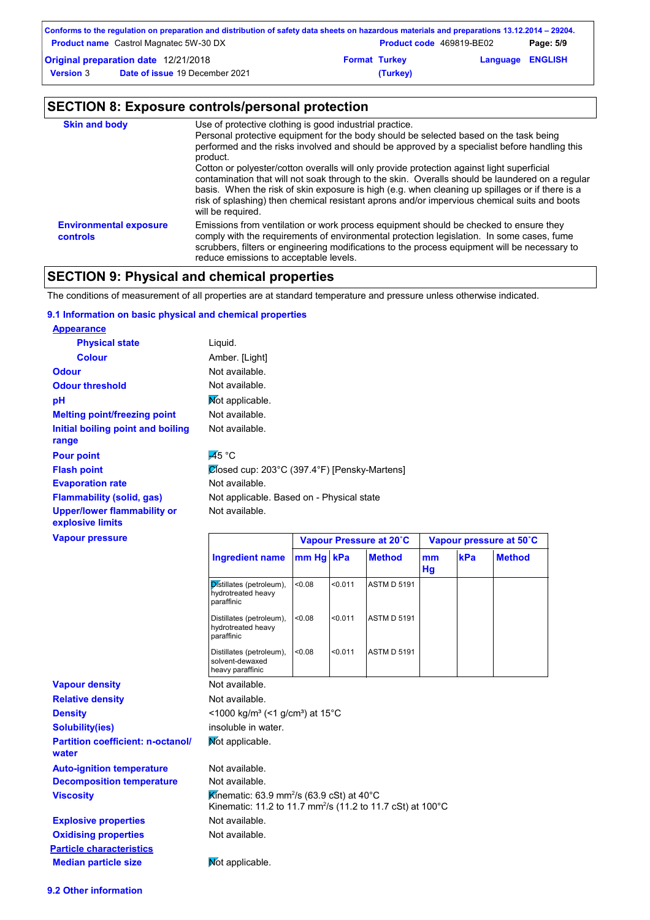| Conforms to the regulation on preparation and distribution of safety data sheets on hazardous materials and preparations 13.12.2014 – 29204. |                                               |                      |                                 |                         |           |  |  |
|----------------------------------------------------------------------------------------------------------------------------------------------|-----------------------------------------------|----------------------|---------------------------------|-------------------------|-----------|--|--|
|                                                                                                                                              | <b>Product name</b> Castrol Magnatec 5W-30 DX |                      | <b>Product code</b> 469819-BE02 |                         | Page: 5/9 |  |  |
| Original preparation date 12/21/2018                                                                                                         |                                               | <b>Format Turkey</b> |                                 | <b>Language ENGLISH</b> |           |  |  |
| <b>Version 3</b>                                                                                                                             | <b>Date of issue 19 December 2021</b>         |                      | (Turkey)                        |                         |           |  |  |

## **SECTION 8: Exposure controls/personal protection**

| <b>Skin and body</b>                             | Use of protective clothing is good industrial practice.<br>Personal protective equipment for the body should be selected based on the task being<br>performed and the risks involved and should be approved by a specialist before handling this<br>product.<br>Cotton or polyester/cotton overalls will only provide protection against light superficial<br>contamination that will not soak through to the skin. Overalls should be laundered on a regular<br>basis. When the risk of skin exposure is high (e.g. when cleaning up spillages or if there is a<br>risk of splashing) then chemical resistant aprons and/or impervious chemical suits and boots<br>will be required. |
|--------------------------------------------------|---------------------------------------------------------------------------------------------------------------------------------------------------------------------------------------------------------------------------------------------------------------------------------------------------------------------------------------------------------------------------------------------------------------------------------------------------------------------------------------------------------------------------------------------------------------------------------------------------------------------------------------------------------------------------------------|
| <b>Environmental exposure</b><br><b>controls</b> | Emissions from ventilation or work process equipment should be checked to ensure they<br>comply with the requirements of environmental protection legislation. In some cases, fume<br>scrubbers, filters or engineering modifications to the process equipment will be necessary to<br>reduce emissions to acceptable levels.                                                                                                                                                                                                                                                                                                                                                         |

### **SECTION 9: Physical and chemical properties**

The conditions of measurement of all properties are at standard temperature and pressure unless otherwise indicated.

#### **9.1 Information on basic physical and chemical properties**

| <b>Appearance</b>                                      |                                                                                                                                 |         |         |                         |          |     |                         |
|--------------------------------------------------------|---------------------------------------------------------------------------------------------------------------------------------|---------|---------|-------------------------|----------|-----|-------------------------|
| <b>Physical state</b>                                  | Liquid.                                                                                                                         |         |         |                         |          |     |                         |
| <b>Colour</b>                                          | Amber. [Light]                                                                                                                  |         |         |                         |          |     |                         |
| <b>Odour</b>                                           | Not available.                                                                                                                  |         |         |                         |          |     |                         |
| <b>Odour threshold</b>                                 | Not available.                                                                                                                  |         |         |                         |          |     |                         |
| рH                                                     | Mot applicable.                                                                                                                 |         |         |                         |          |     |                         |
| <b>Melting point/freezing point</b>                    | Not available.                                                                                                                  |         |         |                         |          |     |                         |
| <b>Initial boiling point and boiling</b><br>range      | Not available.                                                                                                                  |         |         |                         |          |     |                         |
| <b>Pour point</b>                                      | $\overline{45}$ °C                                                                                                              |         |         |                         |          |     |                         |
| <b>Flash point</b>                                     | Ølosed cup: 203°C (397.4°F) [Pensky-Martens]                                                                                    |         |         |                         |          |     |                         |
| <b>Evaporation rate</b>                                | Not available.                                                                                                                  |         |         |                         |          |     |                         |
| <b>Flammability (solid, gas)</b>                       | Not applicable. Based on - Physical state                                                                                       |         |         |                         |          |     |                         |
| <b>Upper/lower flammability or</b><br>explosive limits | Not available.                                                                                                                  |         |         |                         |          |     |                         |
| <b>Vapour pressure</b>                                 |                                                                                                                                 |         |         | Vapour Pressure at 20°C |          |     | Vapour pressure at 50°C |
|                                                        | <b>Ingredient name</b>                                                                                                          | $mm$ Hg | kPa     | <b>Method</b>           | mm<br>Hg | kPa | <b>Method</b>           |
|                                                        | Distillates (petroleum),<br>hydrotreated heavy<br>paraffinic                                                                    | <0.08   | < 0.011 | <b>ASTM D 5191</b>      |          |     |                         |
|                                                        | Distillates (petroleum),<br>hydrotreated heavy<br>paraffinic                                                                    | <0.08   | < 0.011 | <b>ASTM D 5191</b>      |          |     |                         |
|                                                        | Distillates (petroleum),<br>solvent-dewaxed<br>heavy paraffinic                                                                 | <0.08   | < 0.011 | <b>ASTM D 5191</b>      |          |     |                         |
| <b>Vapour density</b>                                  | Not available.                                                                                                                  |         |         |                         |          |     |                         |
| <b>Relative density</b>                                | Not available.                                                                                                                  |         |         |                         |          |     |                         |
| <b>Density</b>                                         | $<$ 1000 kg/m <sup>3</sup> (<1 g/cm <sup>3</sup> ) at 15 <sup>°</sup> C                                                         |         |         |                         |          |     |                         |
| <b>Solubility(ies)</b>                                 | insoluble in water.                                                                                                             |         |         |                         |          |     |                         |
| <b>Partition coefficient: n-octanol/</b><br>water      | Mot applicable.                                                                                                                 |         |         |                         |          |     |                         |
| <b>Auto-ignition temperature</b>                       | Not available.                                                                                                                  |         |         |                         |          |     |                         |
| <b>Decomposition temperature</b>                       | Not available.                                                                                                                  |         |         |                         |          |     |                         |
| <b>Viscosity</b>                                       | Kinematic: 63.9 mm <sup>2</sup> /s (63.9 cSt) at 40°C<br>Kinematic: 11.2 to 11.7 mm <sup>2</sup> /s (11.2 to 11.7 cSt) at 100°C |         |         |                         |          |     |                         |
| <b>Explosive properties</b>                            | Not available.                                                                                                                  |         |         |                         |          |     |                         |
| <b>Oxidising properties</b>                            | Not available.                                                                                                                  |         |         |                         |          |     |                         |
| <b>Particle characteristics</b>                        |                                                                                                                                 |         |         |                         |          |     |                         |
| <b>Median particle size</b>                            | Mot applicable.                                                                                                                 |         |         |                         |          |     |                         |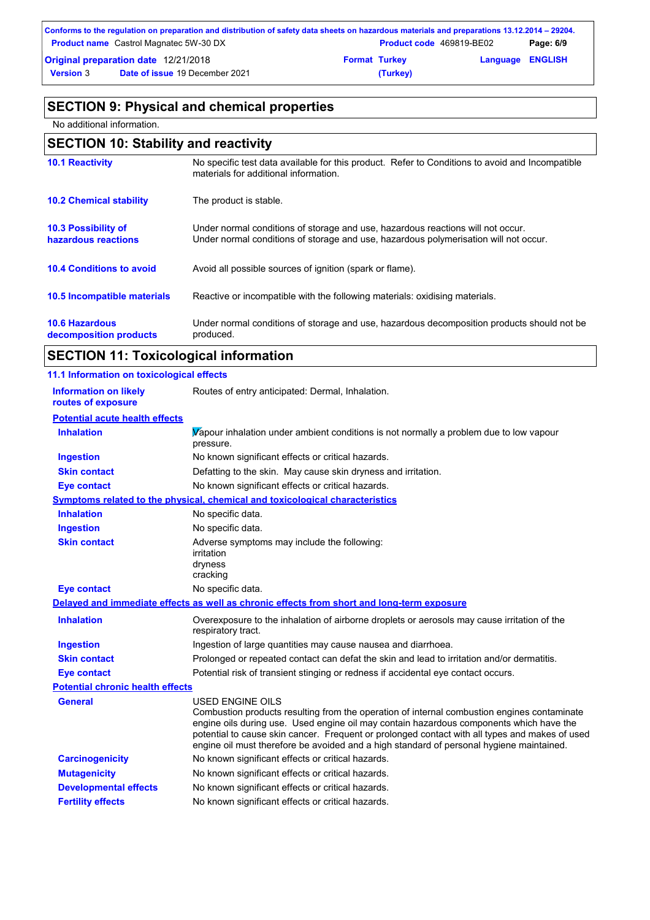| Conforms to the regulation on preparation and distribution of safety data sheets on hazardous materials and preparations 13.12.2014 – 29204. |                                               |                      |                                 |                         |           |  |  |
|----------------------------------------------------------------------------------------------------------------------------------------------|-----------------------------------------------|----------------------|---------------------------------|-------------------------|-----------|--|--|
|                                                                                                                                              | <b>Product name</b> Castrol Magnatec 5W-30 DX |                      | <b>Product code</b> 469819-BE02 |                         | Page: 6/9 |  |  |
| Original preparation date 12/21/2018                                                                                                         |                                               | <b>Format Turkey</b> |                                 | <b>Language ENGLISH</b> |           |  |  |
| <b>Version 3</b>                                                                                                                             | <b>Date of issue 19 December 2021</b>         |                      | (Turkey)                        |                         |           |  |  |

### **SECTION 9: Physical and chemical properties**

No additional information.

## **SECTION 10: Stability and reactivity**

| <b>10.1 Reactivity</b>                            | No specific test data available for this product. Refer to Conditions to avoid and Incompatible<br>materials for additional information.                                |
|---------------------------------------------------|-------------------------------------------------------------------------------------------------------------------------------------------------------------------------|
| <b>10.2 Chemical stability</b>                    | The product is stable.                                                                                                                                                  |
| <b>10.3 Possibility of</b><br>hazardous reactions | Under normal conditions of storage and use, hazardous reactions will not occur.<br>Under normal conditions of storage and use, hazardous polymerisation will not occur. |
| <b>10.4 Conditions to avoid</b>                   | Avoid all possible sources of ignition (spark or flame).                                                                                                                |
| <b>10.5 Incompatible materials</b>                | Reactive or incompatible with the following materials: oxidising materials.                                                                                             |
| <b>10.6 Hazardous</b><br>decomposition products   | Under normal conditions of storage and use, hazardous decomposition products should not be<br>produced.                                                                 |

### **SECTION 11: Toxicological information**

| 11.1 Information on toxicological effects          |                                                                                                                                                                                                                                                                                                                                                                                                                 |
|----------------------------------------------------|-----------------------------------------------------------------------------------------------------------------------------------------------------------------------------------------------------------------------------------------------------------------------------------------------------------------------------------------------------------------------------------------------------------------|
| <b>Information on likely</b><br>routes of exposure | Routes of entry anticipated: Dermal, Inhalation.                                                                                                                                                                                                                                                                                                                                                                |
| <b>Potential acute health effects</b>              |                                                                                                                                                                                                                                                                                                                                                                                                                 |
| <b>Inhalation</b>                                  | Vapour inhalation under ambient conditions is not normally a problem due to low vapour<br>pressure.                                                                                                                                                                                                                                                                                                             |
| <b>Ingestion</b>                                   | No known significant effects or critical hazards.                                                                                                                                                                                                                                                                                                                                                               |
| <b>Skin contact</b>                                | Defatting to the skin. May cause skin dryness and irritation.                                                                                                                                                                                                                                                                                                                                                   |
| <b>Eye contact</b>                                 | No known significant effects or critical hazards.                                                                                                                                                                                                                                                                                                                                                               |
|                                                    | Symptoms related to the physical, chemical and toxicological characteristics                                                                                                                                                                                                                                                                                                                                    |
| <b>Inhalation</b>                                  | No specific data.                                                                                                                                                                                                                                                                                                                                                                                               |
| <b>Ingestion</b>                                   | No specific data.                                                                                                                                                                                                                                                                                                                                                                                               |
| <b>Skin contact</b>                                | Adverse symptoms may include the following:<br>irritation<br>dryness<br>cracking                                                                                                                                                                                                                                                                                                                                |
| <b>Eye contact</b>                                 | No specific data.                                                                                                                                                                                                                                                                                                                                                                                               |
|                                                    | Delayed and immediate effects as well as chronic effects from short and long-term exposure                                                                                                                                                                                                                                                                                                                      |
| <b>Inhalation</b>                                  | Overexposure to the inhalation of airborne droplets or aerosols may cause irritation of the<br>respiratory tract.                                                                                                                                                                                                                                                                                               |
| <b>Ingestion</b>                                   | Ingestion of large quantities may cause nausea and diarrhoea.                                                                                                                                                                                                                                                                                                                                                   |
| <b>Skin contact</b>                                | Prolonged or repeated contact can defat the skin and lead to irritation and/or dermatitis.                                                                                                                                                                                                                                                                                                                      |
| <b>Eye contact</b>                                 | Potential risk of transient stinging or redness if accidental eye contact occurs.                                                                                                                                                                                                                                                                                                                               |
| <b>Potential chronic health effects</b>            |                                                                                                                                                                                                                                                                                                                                                                                                                 |
| General                                            | <b>USED ENGINE OILS</b><br>Combustion products resulting from the operation of internal combustion engines contaminate<br>engine oils during use. Used engine oil may contain hazardous components which have the<br>potential to cause skin cancer. Frequent or prolonged contact with all types and makes of used<br>engine oil must therefore be avoided and a high standard of personal hygiene maintained. |
| <b>Carcinogenicity</b>                             | No known significant effects or critical hazards.                                                                                                                                                                                                                                                                                                                                                               |
| <b>Mutagenicity</b>                                | No known significant effects or critical hazards.                                                                                                                                                                                                                                                                                                                                                               |
| <b>Developmental effects</b>                       | No known significant effects or critical hazards.                                                                                                                                                                                                                                                                                                                                                               |
| <b>Fertility effects</b>                           | No known significant effects or critical hazards.                                                                                                                                                                                                                                                                                                                                                               |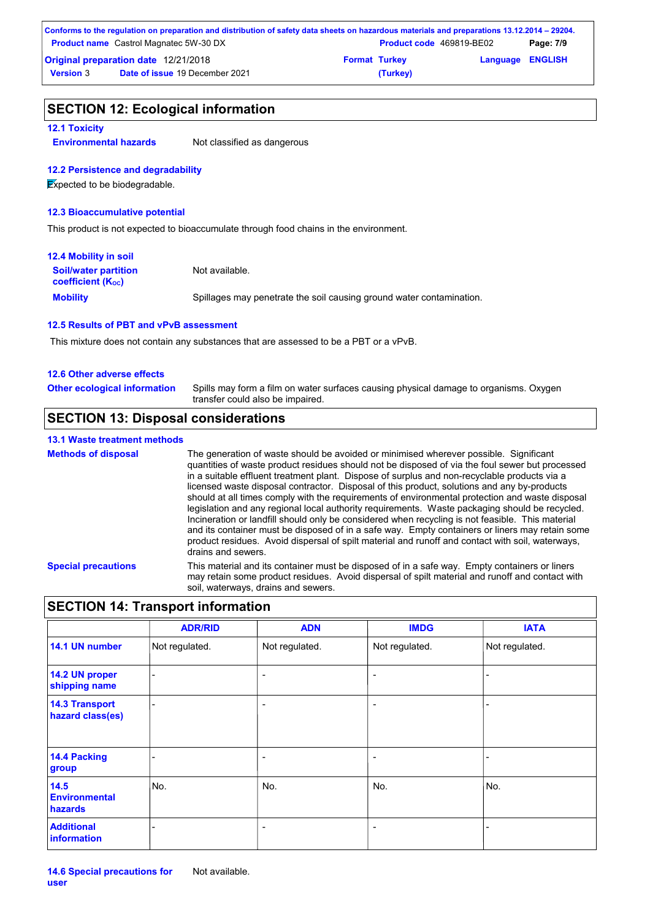| Conforms to the regulation on preparation and distribution of safety data sheets on hazardous materials and preparations 13.12.2014 – 29204. |                                               |                      |                          |                         |           |  |  |
|----------------------------------------------------------------------------------------------------------------------------------------------|-----------------------------------------------|----------------------|--------------------------|-------------------------|-----------|--|--|
|                                                                                                                                              | <b>Product name</b> Castrol Magnatec 5W-30 DX |                      | Product code 469819-BE02 |                         | Page: 7/9 |  |  |
| <b>Original preparation date 12/21/2018</b>                                                                                                  |                                               | <b>Format Turkey</b> |                          | <b>Language ENGLISH</b> |           |  |  |
| <b>Version 3</b>                                                                                                                             | <b>Date of issue 19 December 2021</b>         |                      | (Turkey)                 |                         |           |  |  |

#### **SECTION 12: Ecological information**

#### **12.1 Toxicity**

**Environmental hazards** Not classified as dangerous

#### **12.2 Persistence and degradability**

**Expected to be biodegradable.** 

#### **12.3 Bioaccumulative potential**

This product is not expected to bioaccumulate through food chains in the environment.

| 12.4 Mobility in soil                                         |                                                                      |
|---------------------------------------------------------------|----------------------------------------------------------------------|
| <b>Soil/water partition</b><br>coefficient (K <sub>oc</sub> ) | Not available.                                                       |
| <b>Mobility</b>                                               | Spillages may penetrate the soil causing ground water contamination. |

#### **12.5 Results of PBT and vPvB assessment**

This mixture does not contain any substances that are assessed to be a PBT or a vPvB.

#### **12.6 Other adverse effects**

Spills may form a film on water surfaces causing physical damage to organisms. Oxygen transfer could also be impaired. **Other ecological information**

#### **SECTION 13: Disposal considerations**

#### **13.1 Waste treatment methods**

**Special precautions** This material and its container must be disposed of in a safe way. Empty containers or liners may retain some product residues. Avoid dispersal of spilt material and runoff and contact with soil, waterways, drains and sewers. **Methods of disposal** The generation of waste should be avoided or minimised wherever possible. Significant quantities of waste product residues should not be disposed of via the foul sewer but processed in a suitable effluent treatment plant. Dispose of surplus and non-recyclable products via a licensed waste disposal contractor. Disposal of this product, solutions and any by-products should at all times comply with the requirements of environmental protection and waste disposal legislation and any regional local authority requirements. Waste packaging should be recycled. Incineration or landfill should only be considered when recycling is not feasible. This material and its container must be disposed of in a safe way. Empty containers or liners may retain some product residues. Avoid dispersal of spilt material and runoff and contact with soil, waterways, drains and sewers.

#### **SECTION 14: Transport information**

|                                           | <b>ADR/RID</b>           | <b>ADN</b>               | <b>IMDG</b>              | <b>IATA</b>    |
|-------------------------------------------|--------------------------|--------------------------|--------------------------|----------------|
| 14.1 UN number                            | Not regulated.           | Not regulated.           | Not regulated.           | Not regulated. |
| 14.2 UN proper<br>shipping name           | $\overline{\phantom{0}}$ | $\overline{\phantom{a}}$ | $\overline{\phantom{a}}$ | ۰              |
| <b>14.3 Transport</b><br>hazard class(es) |                          | -                        | ٠                        |                |
| 14.4 Packing<br>group                     |                          | -                        | ٠                        |                |
| 14.5<br><b>Environmental</b><br>hazards   | No.                      | No.                      | No.                      | No.            |
| <b>Additional</b><br>information          |                          | -                        | ٠                        |                |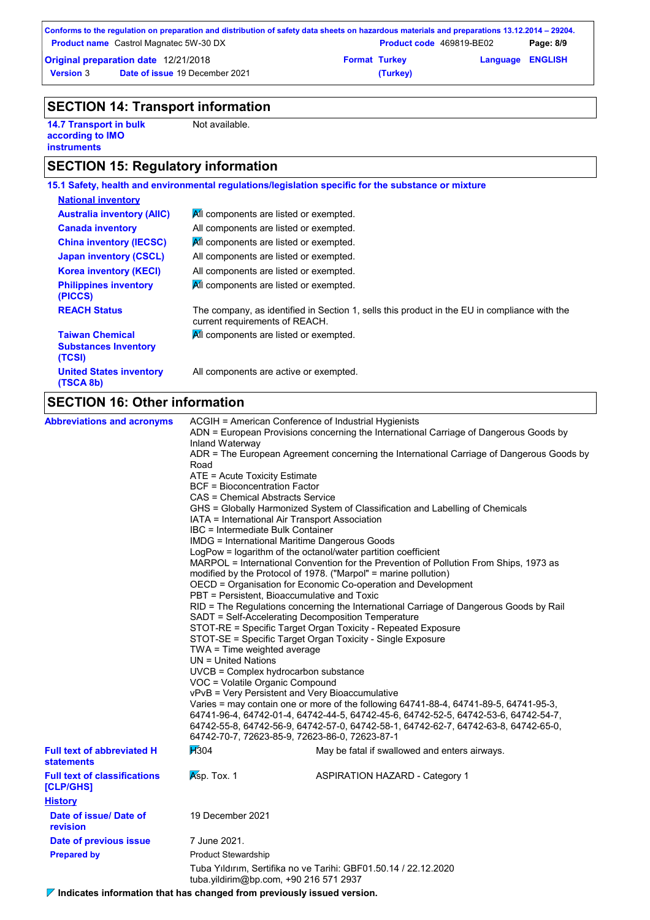|                                               | Conforms to the regulation on preparation and distribution of safety data sheets on hazardous materials and preparations 13.12.2014 – 29204. |                          |          |                         |  |
|-----------------------------------------------|----------------------------------------------------------------------------------------------------------------------------------------------|--------------------------|----------|-------------------------|--|
| <b>Product name</b> Castrol Magnatec 5W-30 DX |                                                                                                                                              | Product code 469819-BE02 |          | Page: 8/9               |  |
| Original preparation date 12/21/2018          |                                                                                                                                              | <b>Format Turkey</b>     |          | <b>Language ENGLISH</b> |  |
| <b>Version 3</b>                              | <b>Date of issue 19 December 2021</b>                                                                                                        |                          | (Turkey) |                         |  |

### **SECTION 14: Transport information**

**14.7 Transport in bulk according to IMO instruments**

Not available.

### **SECTION 15: Regulatory information**

|                                                                 | 15.1 Safety, health and environmental regulations/legislation specific for the substance or mixture                            |
|-----------------------------------------------------------------|--------------------------------------------------------------------------------------------------------------------------------|
| <b>National inventory</b>                                       |                                                                                                                                |
| <b>Australia inventory (AIIC)</b>                               | All components are listed or exempted.                                                                                         |
| <b>Canada inventory</b>                                         | All components are listed or exempted.                                                                                         |
| <b>China inventory (IECSC)</b>                                  | All components are listed or exempted.                                                                                         |
| <b>Japan inventory (CSCL)</b>                                   | All components are listed or exempted.                                                                                         |
| <b>Korea inventory (KECI)</b>                                   | All components are listed or exempted.                                                                                         |
| <b>Philippines inventory</b><br>(PICCS)                         | All components are listed or exempted.                                                                                         |
| <b>REACH Status</b>                                             | The company, as identified in Section 1, sells this product in the EU in compliance with the<br>current requirements of REACH. |
| <b>Taiwan Chemical</b><br><b>Substances Inventory</b><br>(TCSI) | All components are listed or exempted.                                                                                         |
| <b>United States inventory</b><br>(TSCA 8b)                     | All components are active or exempted.                                                                                         |
|                                                                 |                                                                                                                                |

### **SECTION 16: Other information**

| <b>Abbreviations and acronyms</b>                      | ACGIH = American Conference of Industrial Hygienists<br>ADN = European Provisions concerning the International Carriage of Dangerous Goods by<br>Inland Waterway<br>ADR = The European Agreement concerning the International Carriage of Dangerous Goods by<br>Road<br>ATE = Acute Toxicity Estimate<br><b>BCF</b> = Bioconcentration Factor<br>CAS = Chemical Abstracts Service<br>GHS = Globally Harmonized System of Classification and Labelling of Chemicals<br>IATA = International Air Transport Association<br>IBC = Intermediate Bulk Container<br><b>IMDG</b> = International Maritime Dangerous Goods<br>LogPow = logarithm of the octanol/water partition coefficient<br>MARPOL = International Convention for the Prevention of Pollution From Ships, 1973 as<br>modified by the Protocol of 1978. ("Marpol" = marine pollution)<br>OECD = Organisation for Economic Co-operation and Development<br>PBT = Persistent, Bioaccumulative and Toxic<br>RID = The Regulations concerning the International Carriage of Dangerous Goods by Rail<br>SADT = Self-Accelerating Decomposition Temperature<br>STOT-RE = Specific Target Organ Toxicity - Repeated Exposure<br>STOT-SE = Specific Target Organ Toxicity - Single Exposure<br>TWA = Time weighted average<br>$UN = United Nations$<br>UVCB = Complex hydrocarbon substance<br>VOC = Volatile Organic Compound<br>vPvB = Very Persistent and Very Bioaccumulative<br>Varies = may contain one or more of the following 64741-88-4, 64741-89-5, 64741-95-3, |                                                                                                                                       |  |  |
|--------------------------------------------------------|-----------------------------------------------------------------------------------------------------------------------------------------------------------------------------------------------------------------------------------------------------------------------------------------------------------------------------------------------------------------------------------------------------------------------------------------------------------------------------------------------------------------------------------------------------------------------------------------------------------------------------------------------------------------------------------------------------------------------------------------------------------------------------------------------------------------------------------------------------------------------------------------------------------------------------------------------------------------------------------------------------------------------------------------------------------------------------------------------------------------------------------------------------------------------------------------------------------------------------------------------------------------------------------------------------------------------------------------------------------------------------------------------------------------------------------------------------------------------------------------------------------------------------|---------------------------------------------------------------------------------------------------------------------------------------|--|--|
|                                                        |                                                                                                                                                                                                                                                                                                                                                                                                                                                                                                                                                                                                                                                                                                                                                                                                                                                                                                                                                                                                                                                                                                                                                                                                                                                                                                                                                                                                                                                                                                                             | 64742-55-8, 64742-56-9, 64742-57-0, 64742-58-1, 64742-62-7, 64742-63-8, 64742-65-0,<br>64742-70-7, 72623-85-9, 72623-86-0, 72623-87-1 |  |  |
| <b>Full text of abbreviated H</b><br><b>statements</b> | H <sub>304</sub>                                                                                                                                                                                                                                                                                                                                                                                                                                                                                                                                                                                                                                                                                                                                                                                                                                                                                                                                                                                                                                                                                                                                                                                                                                                                                                                                                                                                                                                                                                            | May be fatal if swallowed and enters airways.                                                                                         |  |  |
| <b>Full text of classifications</b><br>[CLP/GHS]       | $Ksp.$ Tox. 1                                                                                                                                                                                                                                                                                                                                                                                                                                                                                                                                                                                                                                                                                                                                                                                                                                                                                                                                                                                                                                                                                                                                                                                                                                                                                                                                                                                                                                                                                                               | <b>ASPIRATION HAZARD - Category 1</b>                                                                                                 |  |  |
| <b>History</b>                                         |                                                                                                                                                                                                                                                                                                                                                                                                                                                                                                                                                                                                                                                                                                                                                                                                                                                                                                                                                                                                                                                                                                                                                                                                                                                                                                                                                                                                                                                                                                                             |                                                                                                                                       |  |  |
| Date of issue/ Date of<br>revision                     | 19 December 2021                                                                                                                                                                                                                                                                                                                                                                                                                                                                                                                                                                                                                                                                                                                                                                                                                                                                                                                                                                                                                                                                                                                                                                                                                                                                                                                                                                                                                                                                                                            |                                                                                                                                       |  |  |
| Date of previous issue                                 | 7 June 2021.                                                                                                                                                                                                                                                                                                                                                                                                                                                                                                                                                                                                                                                                                                                                                                                                                                                                                                                                                                                                                                                                                                                                                                                                                                                                                                                                                                                                                                                                                                                |                                                                                                                                       |  |  |
| <b>Prepared by</b>                                     | <b>Product Stewardship</b>                                                                                                                                                                                                                                                                                                                                                                                                                                                                                                                                                                                                                                                                                                                                                                                                                                                                                                                                                                                                                                                                                                                                                                                                                                                                                                                                                                                                                                                                                                  |                                                                                                                                       |  |  |
|                                                        | Tuba Yıldırım, Sertifika no ve Tarihi: GBF01.50.14 / 22.12.2020<br>tuba.yildirim@bp.com, +90 216 571 2937                                                                                                                                                                                                                                                                                                                                                                                                                                                                                                                                                                                                                                                                                                                                                                                                                                                                                                                                                                                                                                                                                                                                                                                                                                                                                                                                                                                                                   |                                                                                                                                       |  |  |

**Indicates information that has changed from previously issued version.**